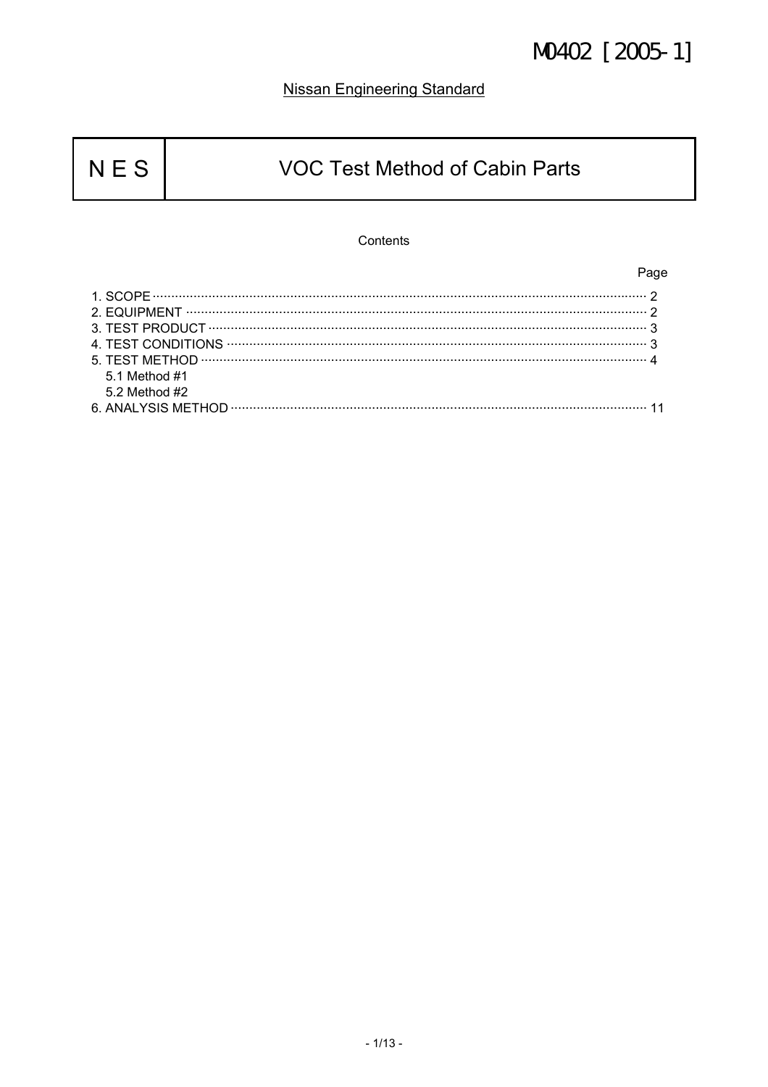### **Nissan Engineering Standard**

### **VOC Test Method of Cabin Parts**

### Contents

Page

| 5.1 Method #1     |  |
|-------------------|--|
| $5.2$ Method $#2$ |  |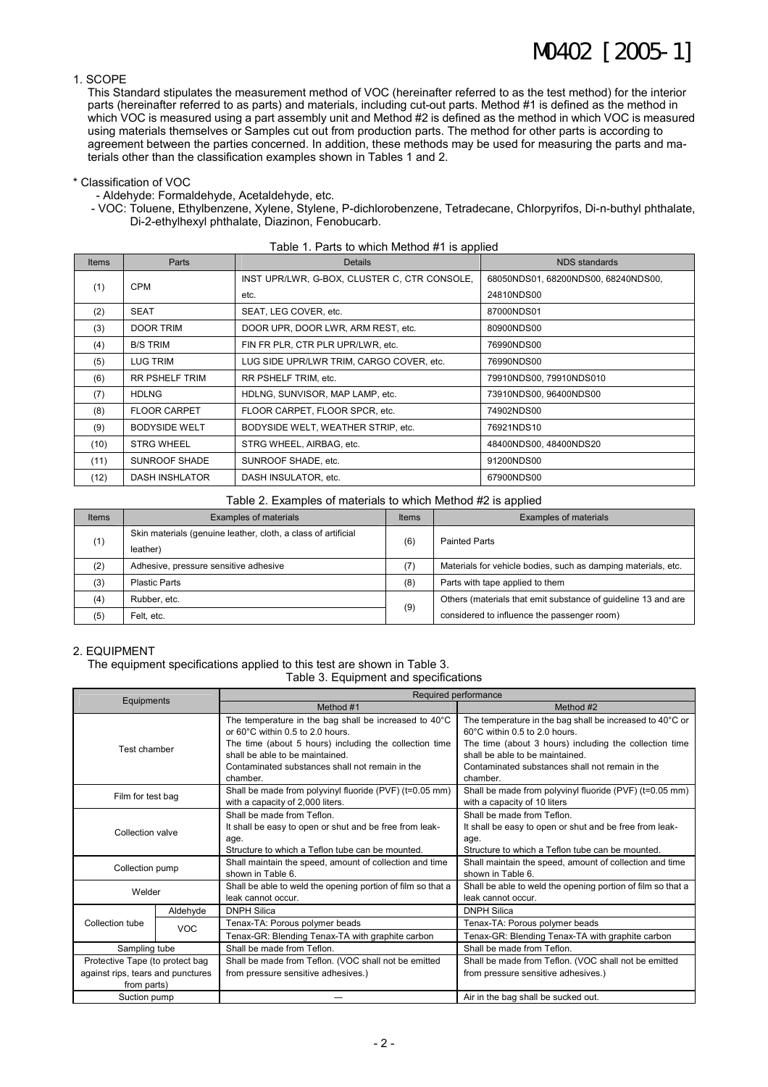#### 1. SCOPE

This Standard stipulates the measurement method of VOC (hereinafter referred to as the test method) for the interior parts (hereinafter referred to as parts) and materials, including cut-out parts. Method #1 is defined as the method in which VOC is measured using a part assembly unit and Method #2 is defined as the method in which VOC is measured using materials themselves or Samples cut out from production parts. The method for other parts is according to agreement between the parties concerned. In addition, these methods may be used for measuring the parts and materials other than the classification examples shown in Tables 1 and 2.

#### \* Classification of VOC

- Aldehyde: Formaldehyde, Acetaldehyde, etc.

- VOC: Toluene, Ethylbenzene, Xylene, Stylene, P-dichlorobenzene, Tetradecane, Chlorpyrifos, Di-n-buthyl phthalate, Di-2-ethylhexyl phthalate, Diazinon, Fenobucarb.

| Table 1. Parts to which Method #1 is applied |                       |                                              |                                     |  |  |  |
|----------------------------------------------|-----------------------|----------------------------------------------|-------------------------------------|--|--|--|
| <b>Items</b>                                 | Parts                 | <b>Details</b>                               | NDS standards                       |  |  |  |
|                                              | <b>CPM</b>            | INST UPR/LWR, G-BOX, CLUSTER C, CTR CONSOLE, | 68050NDS01, 68200NDS00, 68240NDS00, |  |  |  |
| (1)                                          |                       | etc.                                         | 24810NDS00                          |  |  |  |
| (2)                                          | <b>SEAT</b>           | SEAT, LEG COVER, etc.                        | 87000NDS01                          |  |  |  |
| (3)                                          | <b>DOOR TRIM</b>      | DOOR UPR, DOOR LWR, ARM REST, etc.           | 80900NDS00                          |  |  |  |
| (4)                                          | <b>B/S TRIM</b>       | FIN FR PLR, CTR PLR UPR/LWR, etc.            | 76990NDS00                          |  |  |  |
| (5)                                          | LUG TRIM              | LUG SIDE UPR/LWR TRIM, CARGO COVER, etc.     | 76990NDS00                          |  |  |  |
| (6)                                          | <b>RR PSHELF TRIM</b> | RR PSHELF TRIM, etc.                         | 79910NDS00, 79910NDS010             |  |  |  |
| (7)                                          | <b>HDLNG</b>          | HDLNG, SUNVISOR, MAP LAMP, etc.              | 73910NDS00, 96400NDS00              |  |  |  |
| (8)                                          | <b>FLOOR CARPET</b>   | FLOOR CARPET, FLOOR SPCR, etc.               | 74902NDS00                          |  |  |  |
| (9)                                          | <b>BODYSIDE WELT</b>  | BODYSIDE WELT, WEATHER STRIP, etc.           | 76921NDS10                          |  |  |  |
| (10)                                         | <b>STRG WHEEL</b>     | STRG WHEEL, AIRBAG, etc.                     | 48400NDS00, 48400NDS20              |  |  |  |
| (11)                                         | SUNROOF SHADE         | SUNROOF SHADE, etc.                          | 91200NDS00                          |  |  |  |
| (12)                                         | <b>DASH INSHLATOR</b> | DASH INSULATOR, etc.                         | 67900NDS00                          |  |  |  |

| Table 2. Examples of materials to which Method #2 is applied |  |  |
|--------------------------------------------------------------|--|--|
|                                                              |  |  |

| Items | Examples of materials                                         | Items | Examples of materials                                         |  |
|-------|---------------------------------------------------------------|-------|---------------------------------------------------------------|--|
|       | Skin materials (genuine leather, cloth, a class of artificial |       | <b>Painted Parts</b>                                          |  |
| (1)   | leather)                                                      | (6)   |                                                               |  |
| (2)   | Adhesive, pressure sensitive adhesive                         | (7)   | Materials for vehicle bodies, such as damping materials, etc. |  |
| (3)   | <b>Plastic Parts</b>                                          | (8)   | Parts with tape applied to them                               |  |
| (4)   | Rubber, etc.                                                  | (9)   | Others (materials that emit substance of quideline 13 and are |  |
| (5)   | Felt. etc.                                                    |       | considered to influence the passenger room)                   |  |

#### 2. EQUIPMENT

The equipment specifications applied to this test are shown in Table 3.

Table 3. Equipment and specifications

|                                   |            | Required performance                                                                        |                                                                                           |  |  |
|-----------------------------------|------------|---------------------------------------------------------------------------------------------|-------------------------------------------------------------------------------------------|--|--|
| Equipments                        |            | Method #1                                                                                   | Method #2                                                                                 |  |  |
|                                   |            | The temperature in the bag shall be increased to 40°C<br>or 60°C within 0.5 to 2.0 hours.   | The temperature in the bag shall be increased to 40°C or<br>60°C within 0.5 to 2.0 hours. |  |  |
| Test chamber                      |            | The time (about 5 hours) including the collection time                                      | The time (about 3 hours) including the collection time                                    |  |  |
|                                   |            | shall be able to be maintained.                                                             | shall be able to be maintained.                                                           |  |  |
|                                   |            | Contaminated substances shall not remain in the<br>chamber.                                 | Contaminated substances shall not remain in the<br>chamber.                               |  |  |
| Film for test bag                 |            | Shall be made from polyvinyl fluoride (PVF) (t=0.05 mm)<br>with a capacity of 2,000 liters. | Shall be made from polyvinyl fluoride (PVF) (t=0.05 mm)<br>with a capacity of 10 liters   |  |  |
|                                   |            | Shall be made from Teflon.                                                                  | Shall be made from Teflon.                                                                |  |  |
| Collection valve                  |            | It shall be easy to open or shut and be free from leak-                                     | It shall be easy to open or shut and be free from leak-                                   |  |  |
|                                   |            | age.                                                                                        | age.                                                                                      |  |  |
|                                   |            | Structure to which a Teflon tube can be mounted.                                            | Structure to which a Teflon tube can be mounted.                                          |  |  |
| Collection pump                   |            | Shall maintain the speed, amount of collection and time                                     | Shall maintain the speed, amount of collection and time                                   |  |  |
|                                   |            | shown in Table 6.                                                                           | shown in Table 6.                                                                         |  |  |
| Welder                            |            | Shall be able to weld the opening portion of film so that a                                 | Shall be able to weld the opening portion of film so that a                               |  |  |
|                                   |            | leak cannot occur.                                                                          | leak cannot occur.                                                                        |  |  |
|                                   | Aldehyde   | <b>DNPH Silica</b>                                                                          | <b>DNPH Silica</b>                                                                        |  |  |
| Collection tube                   | <b>VOC</b> | Tenax-TA: Porous polymer beads                                                              | Tenax-TA: Porous polymer beads                                                            |  |  |
|                                   |            | Tenax-GR: Blending Tenax-TA with graphite carbon                                            | Tenax-GR: Blending Tenax-TA with graphite carbon                                          |  |  |
| Sampling tube                     |            | Shall be made from Teflon.                                                                  | Shall be made from Teflon.                                                                |  |  |
| Protective Tape (to protect bag   |            | Shall be made from Teflon. (VOC shall not be emitted                                        | Shall be made from Teflon. (VOC shall not be emitted                                      |  |  |
| against rips, tears and punctures |            | from pressure sensitive adhesives.)                                                         | from pressure sensitive adhesives.)                                                       |  |  |
| from parts)                       |            |                                                                                             |                                                                                           |  |  |
| Suction pump                      |            |                                                                                             | Air in the bag shall be sucked out.                                                       |  |  |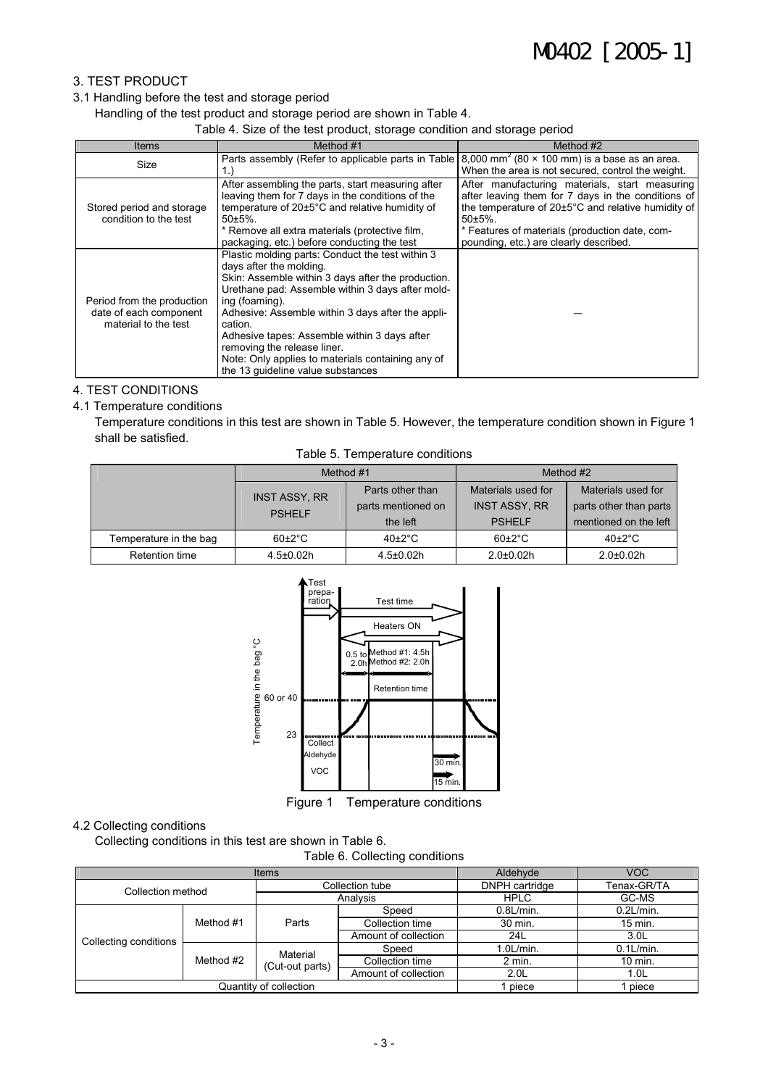### 3. TEST PRODUCT

#### 3.1 Handling before the test and storage period

Handling of the test product and storage period are shown in Table 4.

Table 4. Size of the test product, storage condition and storage period

| Items                                                                        | Method #1                                                                                                                                                                                                                                                                                                                                                                                                                                        | Method #2                                                                                                                                                                                                                                                         |  |  |  |
|------------------------------------------------------------------------------|--------------------------------------------------------------------------------------------------------------------------------------------------------------------------------------------------------------------------------------------------------------------------------------------------------------------------------------------------------------------------------------------------------------------------------------------------|-------------------------------------------------------------------------------------------------------------------------------------------------------------------------------------------------------------------------------------------------------------------|--|--|--|
| Size                                                                         | Parts assembly (Refer to applicable parts in Table)<br>1.)                                                                                                                                                                                                                                                                                                                                                                                       | 8,000 mm <sup>2</sup> (80 $\times$ 100 mm) is a base as an area.<br>When the area is not secured, control the weight.                                                                                                                                             |  |  |  |
| Stored period and storage<br>condition to the test                           | After assembling the parts, start measuring after<br>leaving them for 7 days in the conditions of the<br>temperature of 20±5°C and relative humidity of<br>$50+5\%$ .<br>* Remove all extra materials (protective film,<br>packaging, etc.) before conducting the test                                                                                                                                                                           | After manufacturing materials, start measuring<br>after leaving them for 7 days in the conditions of<br>the temperature of 20±5°C and relative humidity of<br>$50+5%$<br>* Features of materials (production date, com-<br>pounding, etc.) are clearly described. |  |  |  |
| Period from the production<br>date of each component<br>material to the test | Plastic molding parts: Conduct the test within 3<br>days after the molding.<br>Skin: Assemble within 3 days after the production.<br>Urethane pad: Assemble within 3 days after mold-<br>ing (foaming).<br>Adhesive: Assemble within 3 days after the appli-<br>cation.<br>Adhesive tapes: Assemble within 3 days after<br>removing the release liner.<br>Note: Only applies to materials containing any of<br>the 13 quideline value substances |                                                                                                                                                                                                                                                                   |  |  |  |

#### 4. TEST CONDITIONS

#### 4.1 Temperature conditions

Temperature conditions in this test are shown in Table 5. However, the temperature condition shown in Figure 1 shall be satisfied.

|                        | Method #1            |                    |                      | Method #2              |  |  |
|------------------------|----------------------|--------------------|----------------------|------------------------|--|--|
|                        | <b>INST ASSY, RR</b> | Parts other than   | Materials used for   | Materials used for     |  |  |
|                        | <b>PSHELF</b>        | parts mentioned on | <b>INST ASSY, RR</b> | parts other than parts |  |  |
|                        |                      | the left           | <b>PSHELF</b>        | mentioned on the left  |  |  |
| Temperature in the bag | $60+2$ °C            | $40\pm2\degree$ C  | $60+2$ °C            | $40\pm2\degree$ C      |  |  |
| Retention time         | $4.5 \pm 0.02$ h     | $4.5 \pm 0.02$ h   | $2.0 + 0.02h$        | $2.0 + 0.02h$          |  |  |



Figure 1 Temperature conditions

### 4.2 Collecting conditions

Collecting conditions in this test are shown in Table 6.

Table 6. Collecting conditions

|                        | <b>Items</b> | Aldehyde                    | VOC.                 |                  |                  |
|------------------------|--------------|-----------------------------|----------------------|------------------|------------------|
| Collection method      |              |                             | Collection tube      | DNPH cartridge   | Tenax-GR/TA      |
|                        |              | Analysis                    |                      | <b>HPLC</b>      | GC-MS            |
|                        | Method #1    | Parts                       | Speed                | $0.8$ L/min.     | $0.2$ L/min.     |
|                        |              |                             | Collection time      | 30 min.          | 15 min.          |
| Collecting conditions  |              |                             | Amount of collection | 24L              | 3.0 <sub>L</sub> |
|                        | Method #2    | Material<br>(Cut-out parts) | Speed                | $1.0$ L/min.     | $0.1$ L/min.     |
|                        |              |                             | Collection time      | $2$ min.         | 10 min.          |
|                        |              |                             | Amount of collection | 2.0 <sub>L</sub> | 1.0 <sub>L</sub> |
| Quantity of collection |              |                             |                      | piece            | piece            |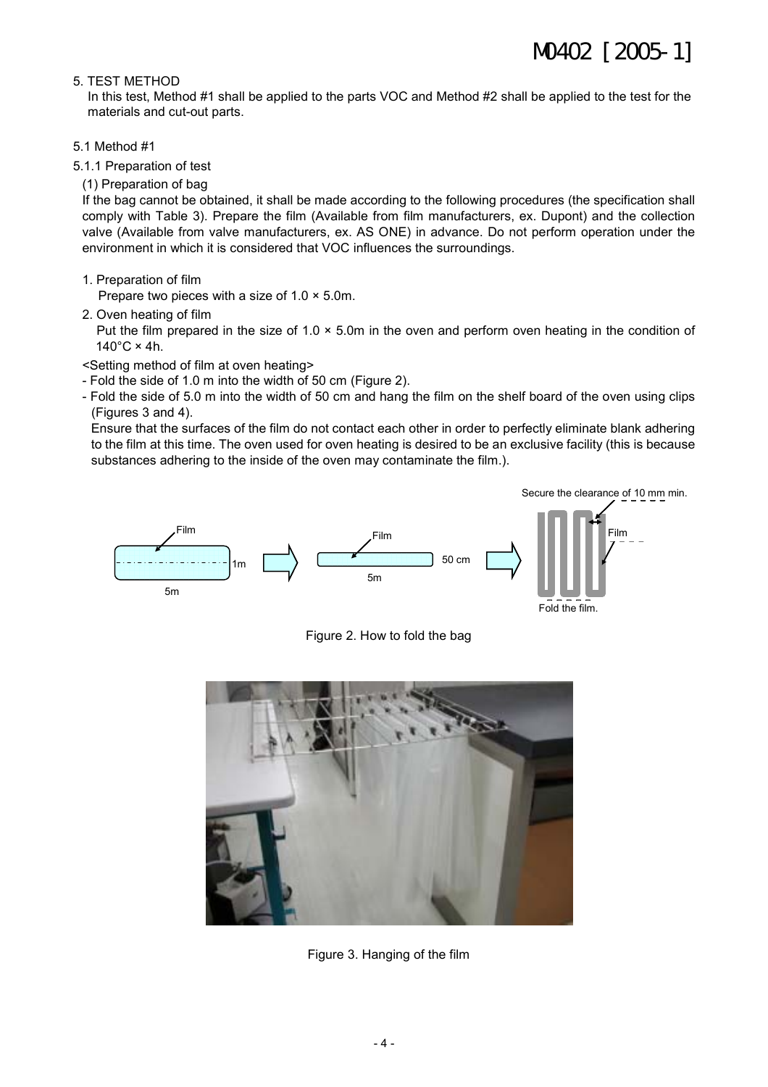#### 5. TEST METHOD

In this test, Method #1 shall be applied to the parts VOC and Method #2 shall be applied to the test for the materials and cut-out parts.

- 5.1 Method #1
- 5.1.1 Preparation of test
	- (1) Preparation of bag

If the bag cannot be obtained, it shall be made according to the following procedures (the specification shall comply with Table 3). Prepare the film (Available from film manufacturers, ex. Dupont) and the collection valve (Available from valve manufacturers, ex. AS ONE) in advance. Do not perform operation under the environment in which it is considered that VOC influences the surroundings.

1. Preparation of film

Prepare two pieces with a size of  $1.0 \times 5.0$ m.

2. Oven heating of film

Put the film prepared in the size of  $1.0 \times 5.0$ m in the oven and perform oven heating in the condition of  $140^{\circ}$ C × 4h.

- <Setting method of film at oven heating>
- Fold the side of 1.0 m into the width of 50 cm (Figure 2).
- Fold the side of 5.0 m into the width of 50 cm and hang the film on the shelf board of the oven using clips (Figures 3 and 4).

Ensure that the surfaces of the film do not contact each other in order to perfectly eliminate blank adhering to the film at this time. The oven used for oven heating is desired to be an exclusive facility (this is because substances adhering to the inside of the oven may contaminate the film.).



Fold the film.

Figure 2. How to fold the bag



Figure 3. Hanging of the film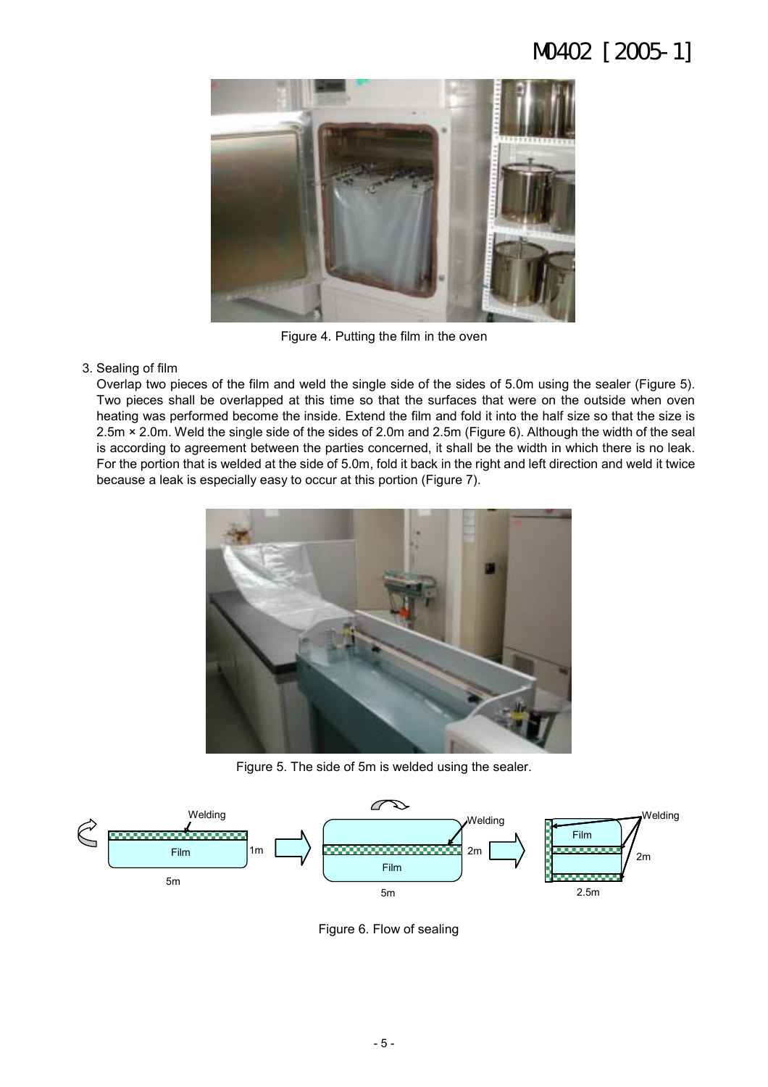

Figure 4. Putting the film in the oven

### 3. Sealing of film

Overlap two pieces of the film and weld the single side of the sides of 5.0m using the sealer (Figure 5). Two pieces shall be overlapped at this time so that the surfaces that were on the outside when oven heating was performed become the inside. Extend the film and fold it into the half size so that the size is 2.5m × 2.0m. Weld the single side of the sides of 2.0m and 2.5m (Figure 6). Although the width of the seal is according to agreement between the parties concerned, it shall be the width in which there is no leak. For the portion that is welded at the side of 5.0m, fold it back in the right and left direction and weld it twice because a leak is especially easy to occur at this portion (Figure 7).



Figure 5. The side of 5m is welded using the sealer.



Figure 6. Flow of sealing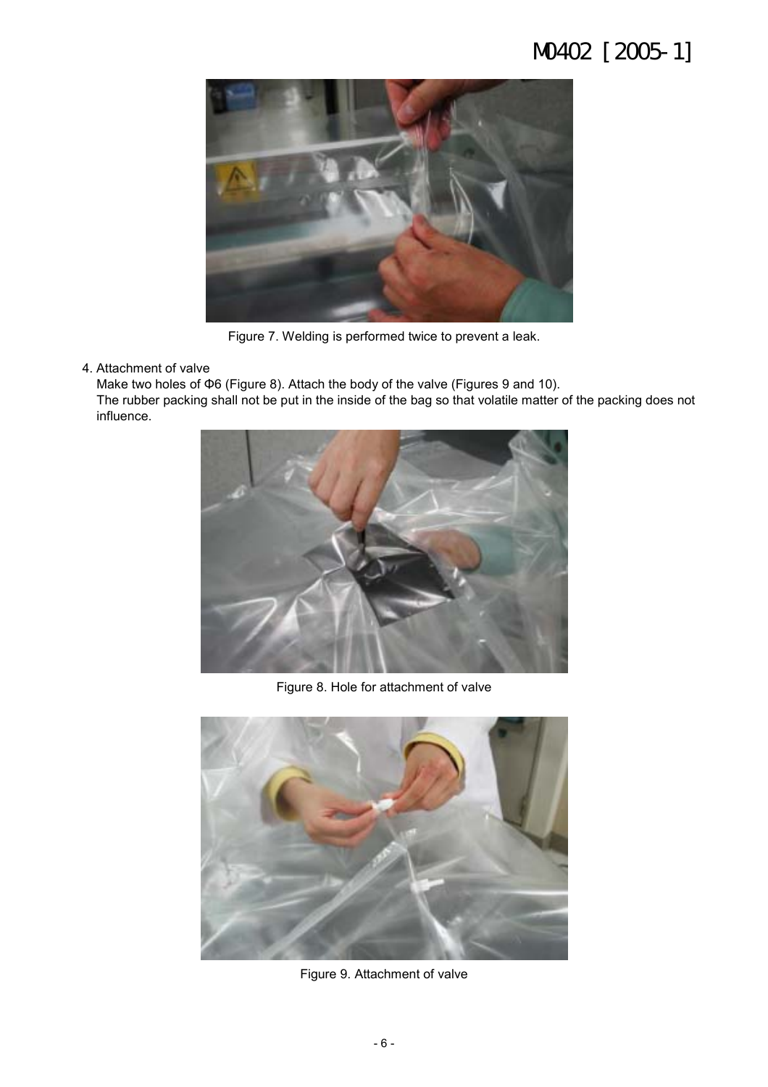

Figure 7. Welding is performed twice to prevent a leak.

4. Attachment of valve

Make two holes of Φ6 (Figure 8). Attach the body of the valve (Figures 9 and 10). The rubber packing shall not be put in the inside of the bag so that volatile matter of the packing does not influence.



Figure 8. Hole for attachment of valve



Figure 9. Attachment of valve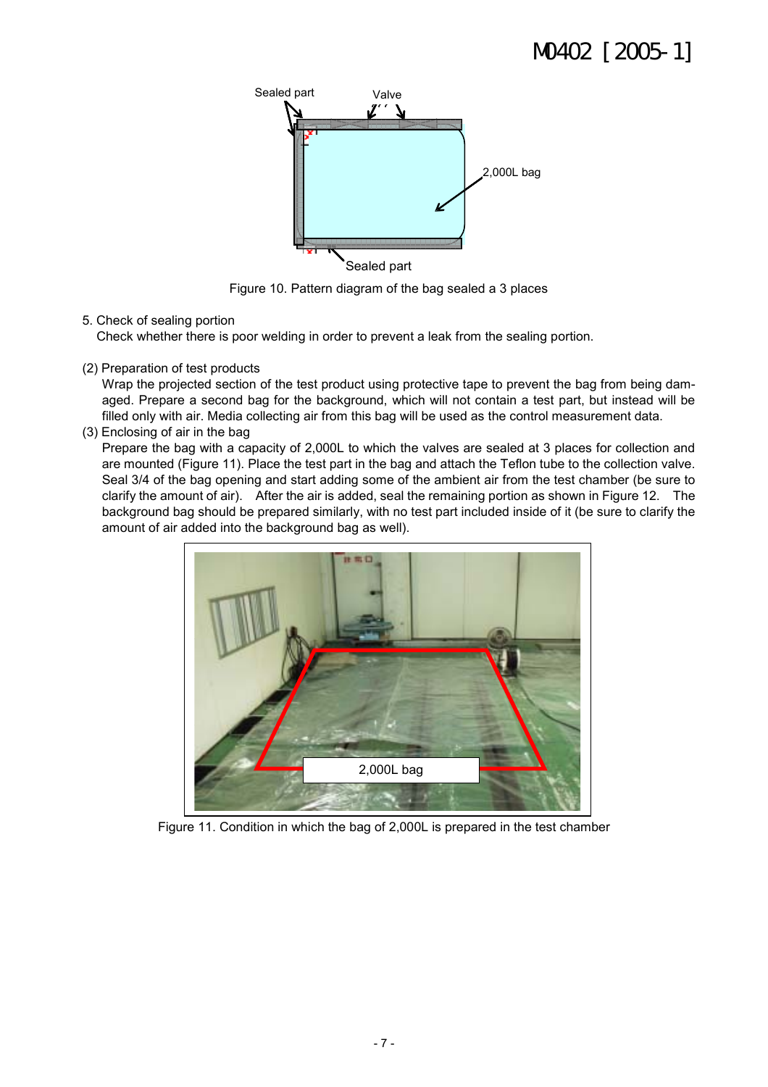

Figure 10. Pattern diagram of the bag sealed a 3 places

### 5. Check of sealing portion

Check whether there is poor welding in order to prevent a leak from the sealing portion.

(2) Preparation of test products

Wrap the projected section of the test product using protective tape to prevent the bag from being damaged. Prepare a second bag for the background, which will not contain a test part, but instead will be filled only with air. Media collecting air from this bag will be used as the control measurement data.

(3) Enclosing of air in the bag

Prepare the bag with a capacity of 2,000L to which the valves are sealed at 3 places for collection and are mounted (Figure 11). Place the test part in the bag and attach the Teflon tube to the collection valve. Seal 3/4 of the bag opening and start adding some of the ambient air from the test chamber (be sure to clarify the amount of air). After the air is added, seal the remaining portion as shown in Figure 12. The background bag should be prepared similarly, with no test part included inside of it (be sure to clarify the amount of air added into the background bag as well).



Figure 11. Condition in which the bag of 2,000L is prepared in the test chamber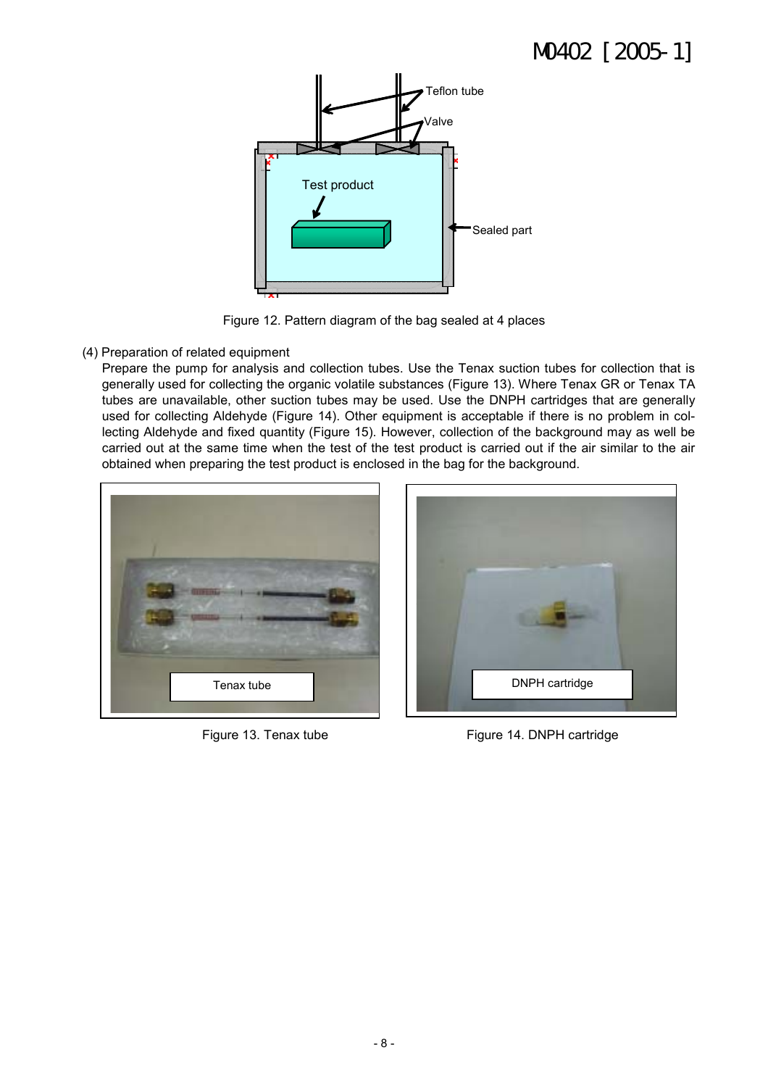

Figure 12. Pattern diagram of the bag sealed at 4 places

### (4) Preparation of related equipment

Prepare the pump for analysis and collection tubes. Use the Tenax suction tubes for collection that is generally used for collecting the organic volatile substances (Figure 13). Where Tenax GR or Tenax TA tubes are unavailable, other suction tubes may be used. Use the DNPH cartridges that are generally used for collecting Aldehyde (Figure 14). Other equipment is acceptable if there is no problem in collecting Aldehyde and fixed quantity (Figure 15). However, collection of the background may as well be carried out at the same time when the test of the test product is carried out if the air similar to the air obtained when preparing the test product is enclosed in the bag for the background.





Figure 13. Tenax tube Figure 14. DNPH cartridge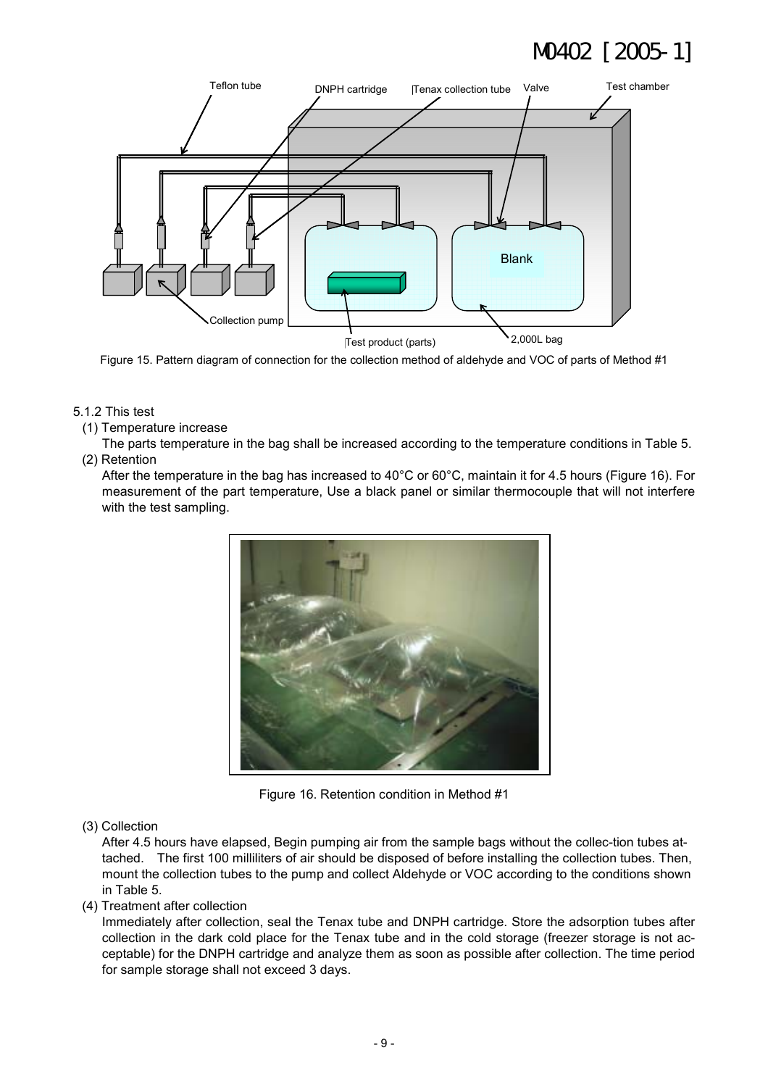

Figure 15. Pattern diagram of connection for the collection method of aldehyde and VOC of parts of Method #1

- 5.1.2 This test
	- (1) Temperature increase

The parts temperature in the bag shall be increased according to the temperature conditions in Table 5. (2) Retention

After the temperature in the bag has increased to 40°C or 60°C, maintain it for 4.5 hours (Figure 16). For measurement of the part temperature, Use a black panel or similar thermocouple that will not interfere with the test sampling.



Figure 16. Retention condition in Method #1

(3) Collection

After 4.5 hours have elapsed, Begin pumping air from the sample bags without the collec-tion tubes attached. The first 100 milliliters of air should be disposed of before installing the collection tubes. Then, mount the collection tubes to the pump and collect Aldehyde or VOC according to the conditions shown in Table 5.

(4) Treatment after collection

Immediately after collection, seal the Tenax tube and DNPH cartridge. Store the adsorption tubes after collection in the dark cold place for the Tenax tube and in the cold storage (freezer storage is not acceptable) for the DNPH cartridge and analyze them as soon as possible after collection. The time period for sample storage shall not exceed 3 days.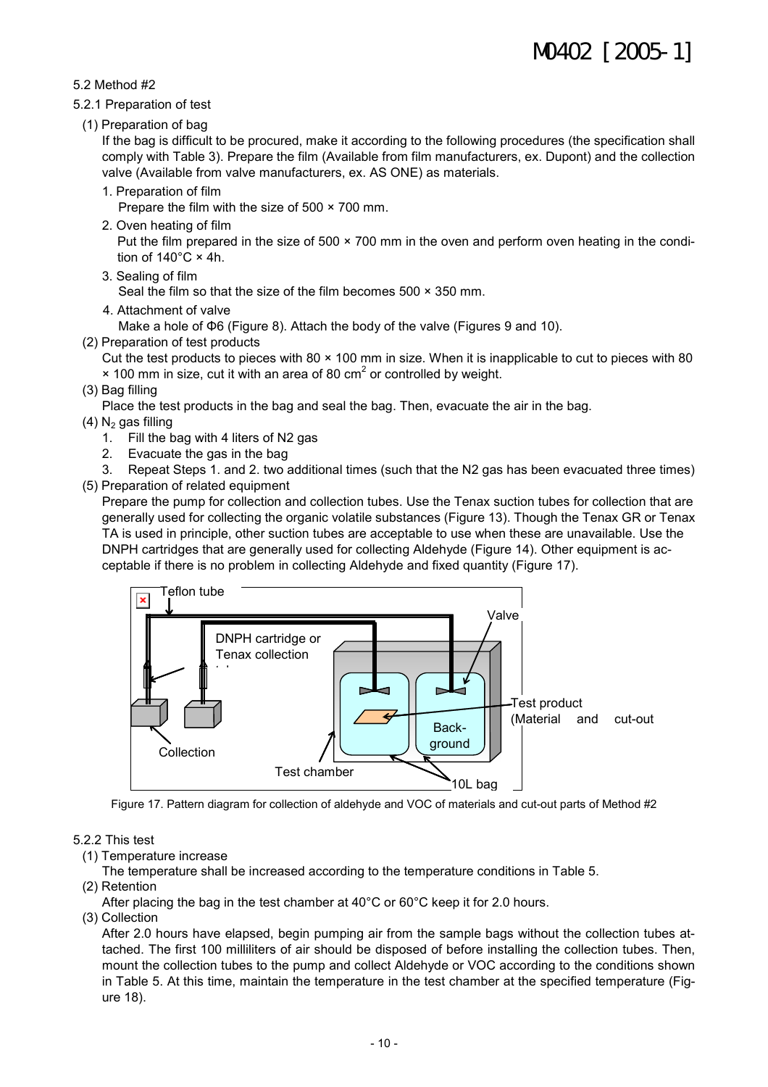#### 5.2 Method #2

- 5.2.1 Preparation of test
- (1) Preparation of bag

If the bag is difficult to be procured, make it according to the following procedures (the specification shall comply with Table 3). Prepare the film (Available from film manufacturers, ex. Dupont) and the collection valve (Available from valve manufacturers, ex. AS ONE) as materials.

1. Preparation of film

Prepare the film with the size of 500 × 700 mm.

2. Oven heating of film

Put the film prepared in the size of 500 × 700 mm in the oven and perform oven heating in the condition of  $140^{\circ}$ C × 4h.

3. Sealing of film

Seal the film so that the size of the film becomes 500 × 350 mm.

4. Attachment of valve

Make a hole of Φ6 (Figure 8). Attach the body of the valve (Figures 9 and 10).

(2) Preparation of test products

Cut the test products to pieces with  $80 \times 100$  mm in size. When it is inapplicable to cut to pieces with 80

 $\times$  100 mm in size, cut it with an area of 80 cm<sup>2</sup> or controlled by weight.

(3) Bag filling

Place the test products in the bag and seal the bag. Then, evacuate the air in the bag.

- $(4)$  N<sub>2</sub> gas filling
	- 1. Fill the bag with 4 liters of N2 gas
	- 2. Evacuate the gas in the bag
	- 3. Repeat Steps 1. and 2. two additional times (such that the N2 gas has been evacuated three times)
- (5) Preparation of related equipment

Prepare the pump for collection and collection tubes. Use the Tenax suction tubes for collection that are generally used for collecting the organic volatile substances (Figure 13). Though the Tenax GR or Tenax TA is used in principle, other suction tubes are acceptable to use when these are unavailable. Use the DNPH cartridges that are generally used for collecting Aldehyde (Figure 14). Other equipment is acceptable if there is no problem in collecting Aldehyde and fixed quantity (Figure 17).



Figure 17. Pattern diagram for collection of aldehyde and VOC of materials and cut-out parts of Method #2

### 5.2.2 This test

(1) Temperature increase

The temperature shall be increased according to the temperature conditions in Table 5.

- (2) Retention
- After placing the bag in the test chamber at 40°C or 60°C keep it for 2.0 hours.
- (3) Collection

After 2.0 hours have elapsed, begin pumping air from the sample bags without the collection tubes attached. The first 100 milliliters of air should be disposed of before installing the collection tubes. Then, mount the collection tubes to the pump and collect Aldehyde or VOC according to the conditions shown in Table 5. At this time, maintain the temperature in the test chamber at the specified temperature (Figure 18).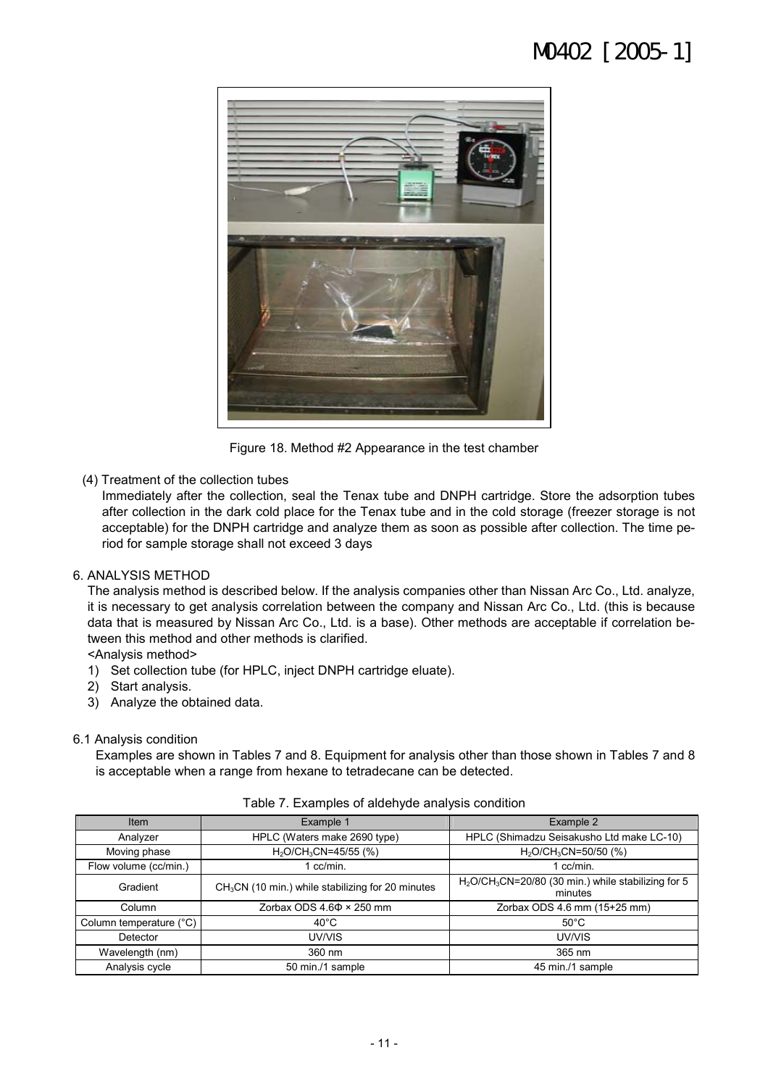

Figure 18. Method #2 Appearance in the test chamber

(4) Treatment of the collection tubes

Immediately after the collection, seal the Tenax tube and DNPH cartridge. Store the adsorption tubes after collection in the dark cold place for the Tenax tube and in the cold storage (freezer storage is not acceptable) for the DNPH cartridge and analyze them as soon as possible after collection. The time period for sample storage shall not exceed 3 days

#### 6. ANALYSIS METHOD

The analysis method is described below. If the analysis companies other than Nissan Arc Co., Ltd. analyze, it is necessary to get analysis correlation between the company and Nissan Arc Co., Ltd. (this is because data that is measured by Nissan Arc Co., Ltd. is a base). Other methods are acceptable if correlation between this method and other methods is clarified.

<Analysis method>

- 1) Set collection tube (for HPLC, inject DNPH cartridge eluate).
- 2) Start analysis.
- 3) Analyze the obtained data.

#### 6.1 Analysis condition

Examples are shown in Tables 7 and 8. Equipment for analysis other than those shown in Tables 7 and 8 is acceptable when a range from hexane to tetradecane can be detected.

| Item                    | Example 1                                                     | Example 2                                                      |  |
|-------------------------|---------------------------------------------------------------|----------------------------------------------------------------|--|
| Analyzer                | HPLC (Waters make 2690 type)                                  | HPLC (Shimadzu Seisakusho Ltd make LC-10)                      |  |
| Moving phase            | $H_2O$ CH <sub>3</sub> CN=45/55 (%)                           | $H_2O$ CH <sub>3</sub> CN=50/50 (%)                            |  |
| Flow volume (cc/min.)   | 1 cc/min.                                                     | $1$ cc/min.                                                    |  |
| Gradient                | CH <sub>3</sub> CN (10 min.) while stabilizing for 20 minutes | $H2O/CH3CN=20/80$ (30 min.) while stabilizing for 5<br>minutes |  |
| Column                  | Zorbax ODS $4.6\Phi \times 250$ mm                            | Zorbax ODS 4.6 mm (15+25 mm)                                   |  |
| Column temperature (°C) | $40^{\circ}$ C                                                | $50^{\circ}$ C                                                 |  |
| Detector                | UV/VIS                                                        | UV/VIS                                                         |  |
| Wavelength (nm)         | 360 nm                                                        | 365 nm                                                         |  |
| Analysis cycle          | 50 min./1 sample                                              | 45 min./1 sample                                               |  |

#### Table 7. Examples of aldehyde analysis condition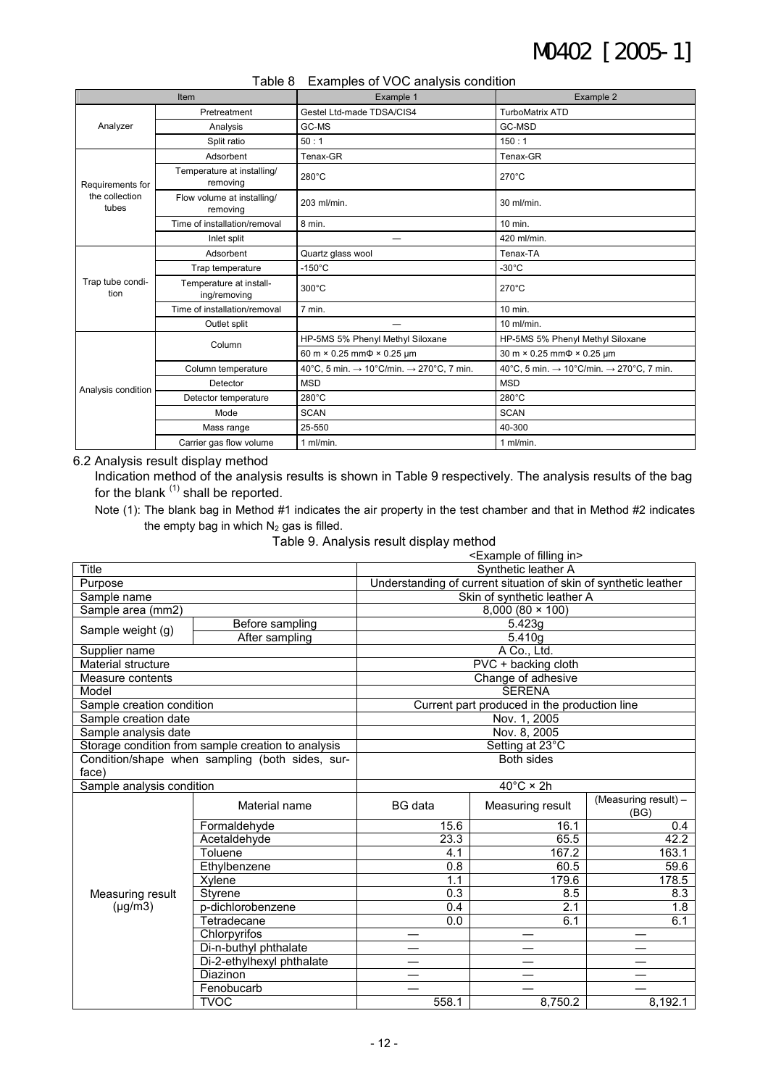| $\frac{1}{2}$ and $\frac{1}{2}$ contributed by $\frac{1}{2}$ and $\frac{1}{2}$ contribution. |                                         |                                                                  |                                                                  |  |  |  |
|----------------------------------------------------------------------------------------------|-----------------------------------------|------------------------------------------------------------------|------------------------------------------------------------------|--|--|--|
|                                                                                              | Item                                    | Example 1                                                        | Example 2                                                        |  |  |  |
|                                                                                              | Pretreatment                            | Gestel Ltd-made TDSA/CIS4                                        | <b>TurboMatrix ATD</b>                                           |  |  |  |
| Analyzer                                                                                     | Analysis                                | GC-MS                                                            | GC-MSD                                                           |  |  |  |
|                                                                                              | Split ratio                             | 50:1                                                             | 150:1                                                            |  |  |  |
|                                                                                              | Adsorbent                               | Tenax-GR                                                         | Tenax-GR                                                         |  |  |  |
| Requirements for                                                                             | Temperature at installing/<br>removing  | $280^{\circ}$ C                                                  | $270^{\circ}$ C                                                  |  |  |  |
| the collection<br>tubes                                                                      | Flow volume at installing/<br>removing  | 203 ml/min.                                                      | 30 ml/min.                                                       |  |  |  |
|                                                                                              | Time of installation/removal            | 8 min.                                                           | 10 min.                                                          |  |  |  |
|                                                                                              | Inlet split                             |                                                                  | 420 ml/min.                                                      |  |  |  |
|                                                                                              | Adsorbent                               | Quartz glass wool                                                | Tenax-TA                                                         |  |  |  |
|                                                                                              | Trap temperature                        | $-150^{\circ}$ C                                                 | $-30^{\circ}$ C                                                  |  |  |  |
| Trap tube condi-<br>tion                                                                     | Temperature at install-<br>ing/removing | 300°C                                                            | 270°C                                                            |  |  |  |
|                                                                                              | Time of installation/removal            | 7 min.                                                           | 10 min.                                                          |  |  |  |
|                                                                                              | Outlet split                            |                                                                  | $10$ ml/min.                                                     |  |  |  |
|                                                                                              | Column                                  | HP-5MS 5% Phenyl Methyl Siloxane                                 | HP-5MS 5% Phenyl Methyl Siloxane                                 |  |  |  |
|                                                                                              |                                         | 60 m × 0.25 mm $\Phi$ × 0.25 µm                                  | 30 m × 0.25 mm $\Phi$ × 0.25 µm                                  |  |  |  |
|                                                                                              | Column temperature                      | 40°C, 5 min. $\rightarrow$ 10°C/min. $\rightarrow$ 270°C, 7 min. | 40°C, 5 min. $\rightarrow$ 10°C/min. $\rightarrow$ 270°C, 7 min. |  |  |  |
| Analysis condition                                                                           | Detector                                | <b>MSD</b>                                                       | <b>MSD</b>                                                       |  |  |  |
|                                                                                              | Detector temperature                    | 280°C                                                            | $280^{\circ}$ C                                                  |  |  |  |
|                                                                                              | Mode                                    | <b>SCAN</b>                                                      | <b>SCAN</b>                                                      |  |  |  |
|                                                                                              | Mass range                              | 25-550                                                           | 40-300                                                           |  |  |  |
|                                                                                              | Carrier gas flow volume                 | 1 $ml/min$ .                                                     | 1 ml/min.                                                        |  |  |  |

#### Table 8 Examples of VOC analysis condition

6.2 Analysis result display method

Indication method of the analysis results is shown in Table 9 respectively. The analysis results of the bag for the blank <sup>(1)</sup> shall be reported.

Note (1): The blank bag in Method #1 indicates the air property in the test chamber and that in Method #2 indicates the empty bag in which  $N_2$  gas is filled.

Table 9. Analysis result display method

|                                                    | <example filling="" in="" of=""></example> |                                                                 |                                              |                              |
|----------------------------------------------------|--------------------------------------------|-----------------------------------------------------------------|----------------------------------------------|------------------------------|
| <b>Title</b>                                       |                                            |                                                                 | Synthetic leather A                          |                              |
| Purpose                                            |                                            | Understanding of current situation of skin of synthetic leather |                                              |                              |
| Sample name                                        |                                            |                                                                 | Skin of synthetic leather A                  |                              |
| Sample area (mm2)                                  |                                            |                                                                 | $8,000(80 \times 100)$                       |                              |
| Sample weight (g)                                  | Before sampling                            | 5.423g                                                          |                                              |                              |
|                                                    | After sampling                             |                                                                 | 5.410g                                       |                              |
| Supplier name                                      |                                            |                                                                 | A Co., Ltd.                                  |                              |
| Material structure                                 |                                            |                                                                 | PVC + backing cloth                          |                              |
| Measure contents                                   |                                            |                                                                 | Change of adhesive                           |                              |
| Model                                              |                                            |                                                                 | <b>SERENA</b>                                |                              |
| Sample creation condition                          |                                            |                                                                 | Current part produced in the production line |                              |
| Sample creation date                               |                                            |                                                                 | Nov. 1, 2005                                 |                              |
| Sample analysis date                               |                                            |                                                                 | Nov. 8, 2005                                 |                              |
| Storage condition from sample creation to analysis |                                            |                                                                 | Setting at 23°C                              |                              |
| Condition/shape when sampling (both sides, sur-    |                                            | <b>Both sides</b>                                               |                                              |                              |
| face)                                              |                                            |                                                                 |                                              |                              |
| Sample analysis condition                          |                                            |                                                                 | $40^{\circ}$ C × 2h                          |                              |
|                                                    | Material name                              | <b>BG</b> data                                                  | Measuring result                             | (Measuring result) -<br>(BG) |
|                                                    | Formaldehyde                               | 15.6                                                            | 16.1                                         | 0.4                          |
|                                                    | Acetaldehyde                               | 23.3                                                            | 65.5                                         | 42.2                         |
|                                                    | Toluene                                    | 4.1                                                             | 167.2                                        | 163.1                        |
|                                                    | Ethylbenzene                               | 0.8                                                             | 60.5                                         | 59.6                         |
|                                                    | Xylene                                     | 1.1                                                             | 179.6                                        | 178.5                        |
| Measuring result                                   | Styrene                                    | 0.3                                                             | 8.5                                          | 8.3                          |
| $(\mu g/m3)$                                       | p-dichlorobenzene                          | 0.4                                                             | 2.1                                          | 1.8                          |
|                                                    | Tetradecane                                | 0.0                                                             | 6.1                                          | 6.1                          |
|                                                    | Chlorpyrifos                               |                                                                 |                                              |                              |
|                                                    | Di-n-buthyl phthalate                      |                                                                 |                                              |                              |
|                                                    | Di-2-ethylhexyl phthalate                  |                                                                 |                                              |                              |
|                                                    | Diazinon                                   |                                                                 |                                              |                              |
|                                                    | Fenobucarb                                 |                                                                 |                                              |                              |
|                                                    | <b>TVOC</b>                                | 558.1                                                           | 8,750.2                                      | 8.192.1                      |